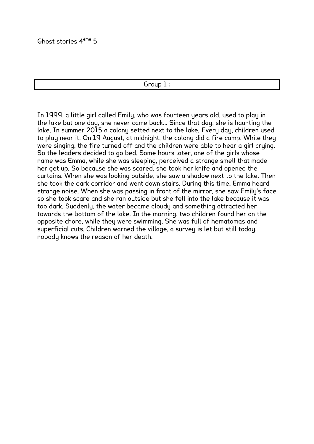Group 1 :

In 1999, a little girl called Emily, who was fourteen years old, used to play in the lake but one day, she never came back... Since that day, she is haunting the lake. In summer 2015 a colony setted next to the lake. Every day, children used to play near it. On 19 August, at midnight, the colony did a fire camp. While they were singing, the fire turned off and the children were able to hear a girl crying. So the leaders decided to go bed. Some hours later, one of the girls whose name was Emma, while she was sleeping, perceived a strange smell that made her get up. So because she was scared, she took her knife and opened the curtains. When she was looking outside, she saw a shadow next to the lake. Then she took the dark corridor and went down stairs. During this time, Emma heard strange noise. When she was passing in front of the mirror, she saw Emily's face so she took scare and she ran outside but she fell into the lake because it was too dark. Suddenly, the water became cloudy and something attracted her towards the bottom of the lake. In the morning, two children found her on the opposite chore, while they were swimming. She was full of hematomas and superficial cuts. Children warned the village, a survey is let but still today, nobody knows the reason of her death.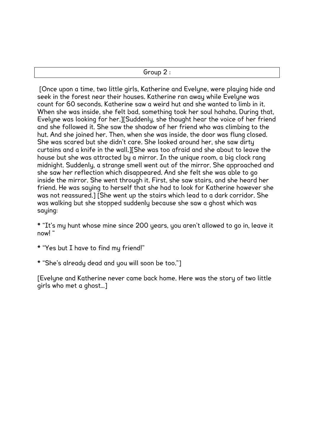| .<br>$\overline{\phantom{0}}$ |
|-------------------------------|
|                               |

[Once upon a time, two little girls, Katherine and Evelyne, were playing hide and seek in the forest near their houses. Katherine ran away while Evelyne was count for 60 seconds. Katherine saw a weird hut and she wanted to limb in it. When she was inside, she felt bad, something took her soul hahaha. During that, Evelyne was looking for her.][Suddenly, she thought hear the voice of her friend and she followed it. She saw the shadow of her friend who was climbing to the hut. And she joined her. Then, when she was inside, the door was flung closed. She was scared but she didn't care. She looked around her, she saw dirty curtains and a knife in the wall.][She was too afraid and she about to leave the house but she was attracted by a mirror. In the unique room, a big clock rang midnight. Suddenly, a strange smell went out of the mirror. She approached and she saw her reflection which disappeared. And she felt she was able to go inside the mirror. She went through it. First, she saw stairs, and she heard her friend. He was saying to herself that she had to look for Katherine however she was not reassured.] [She went up the stairs which lead to a dark corridor. She was walking but she stopped suddenly because she saw a ghost which was saying:

\* "It's my hunt whose mine since 200 years, you aren't allowed to go in, leave it now! "

- \* "Yes but I have to find my friend!"
- \* "She's already dead and you will soon be too."]

[Evelyne and Katherine never came back home. Here was the story of two little girls who met a ghost…]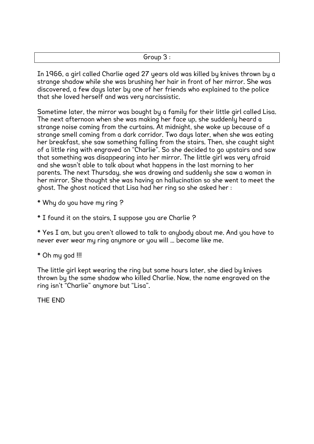In 1966, a girl called Charlie aged 27 years old was killed by knives thrown by a strange shadow while she was brushing her hair in front of her mirror. She was discovered, a few days later by one of her friends who explained to the police that she loved herself and was very narcissistic.

Sometime later, the mirror was bought by a family for their little girl called Lisa. The next afternoon when she was making her face up, she suddenly heard a strange noise coming from the curtains. At midnight, she woke up because of a strange smell coming from a dark corridor. Two days later, when she was eating her breakfast, she saw something falling from the stairs. Then, she caught sight of a little ring with engraved on "Charlie". So she decided to go upstairs and saw that something was disappearing into her mirror. The little girl was very afraid and she wasn't able to talk about what happens in the last morning to her parents. The next Thursday, she was drawing and suddenly she saw a woman in her mirror. She thought she was having an hallucination so she went to meet the ghost. The ghost noticed that Lisa had her ring so she asked her :

- \* Why do you have my ring ?
- \* I found it on the stairs, I suppose you are Charlie ?

\* Yes I am, but you aren't allowed to talk to anybody about me. And you have to never ever wear my ring anymore or you will … become like me.

\* Oh my god !!!

The little girl kept wearing the ring but some hours later, she died by knives thrown by the same shadow who killed Charlie. Now, the name engraved on the ring isn't "Charlie" anymore but "Lisa".

THE END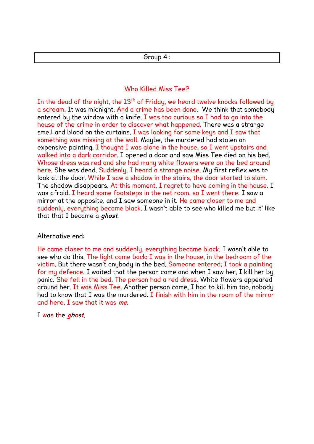## Group 4 :

## Who Killed Miss Tee?

In the dead of the night, the  $13<sup>th</sup>$  of Friday, we heard twelve knocks followed by a scream. It was midnight. And a crime has been done. We think that somebody entered by the window with a knife. I was too curious so I had to go into the house of the crime in order to discover what happened. There was a strange smell and blood on the curtains. I was looking for some keys and I saw that something was missing at the wall. Maybe, the murdered had stolen an expensive painting. I thought I was alone in the house, so I went upstairs and walked into a dark corridor. I opened a door and saw Miss Tee died on his bed. Whose dress was red and she had many white flowers were on the bed around here. She was dead. Suddenly, I heard a strange noise. My first reflex was to look at the door. While I saw a shadow in the stairs, the door started to slam. The shadow disappears. At this moment, I regret to have coming in the house. I was afraid. I heard some footsteps in the net room, so I went there. I saw a mirror at the opposite, and I saw someone in it. He came closer to me and suddenly, everything became black. I wasn't able to see who killed me but it' like that that I became a **ghost**.

## Alternative end:

He came closer to me and suddenly, everything became black. I wasn't able to see who do this. The light came back; I was in the house, in the bedroom of the victim. But there wasn't anybody in the bed. Someone entered; I took a painting for my defence. I waited that the person came and when I saw her, I kill her by panic. She fell in the bed. The person had a red dress. White flowers appeared around her. It was Miss Tee. Another person came, I had to kill him too, nobody had to know that I was the murdered. I finish with him in the room of the mirror and here, I saw that it was **me**.

I was the **ghost**.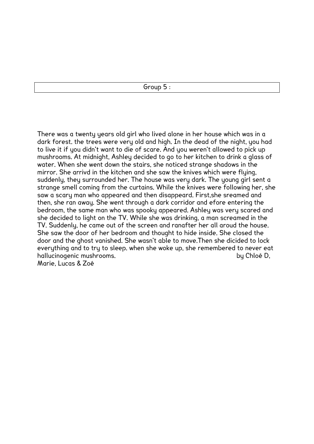Group 5 :

There was a twenty years old girl who lived alone in her house which was in a dark forest. the trees were very old and high. In the dead of the night, you had to live it if you didn't want to die of scare. And you weren't allowed to pick up mushrooms. At midnight, Ashley decided to go to her kitchen to drink a glass of water. When she went down the stairs, she noticed strange shadows in the mirror. She arrivd in the kitchen and she saw the knives which were flying, suddenly, they surrounded her. The house was very dark. The young girl sent a strange smell coming from the curtains. While the knives were following her, she saw a scary man who appeared and then disappeard. First,she sreamed and then, she ran away. She went through a dark corridor and efore entering the bedroom, the same man who was spooky appeared. Ashley was very scared and she decided to light on the TV. While she was drinking, a man screamed in the TV. Suddenly, he came out of the screen and ranafter her all aroud the house. She saw the door of her bedroom and thought to hide inside. She closed the door and the ghost vanished. She wasn't able to move.Then she dicided to lock everything and to try to sleep. when she woke up, she remembered to never eat hallucinogenic mushrooms. by Chloé D,

Marie, Lucas & Zoé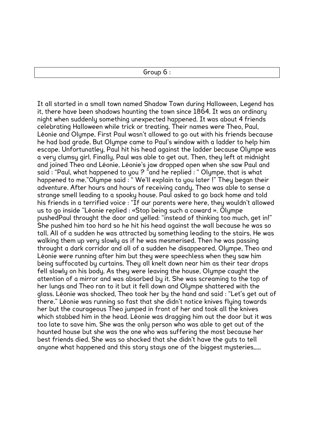It all started in a small town named Shadow Town during Halloween, Legend has it, there have been shadows haunting the town since 1864. It was an ordinary night when suddenly something unexpected happened. It was about 4 friends celebrating Halloween while trick or treating. Their names were Theo, Paul, Léonie and Olympe. First Paul wasn't allowed to go out with his friends because he had bad grade. But Olympe came to Paul's window with a ladder to help him escape. Unfortunatley, Paul hit his head against the ladder because Olympe was a very clumsy girl. Finally, Paul was able to get out. Then, they left at midnight and joined Theo and Léonie. Léonie's jaw dropped open when she saw Paul and said : "Paul, what happened to you ? "and he replied : " Olympe, that is what happened to me."Olympe said : "We'll explain to you later !" They began their adventure. After hours and hours of receiving candy, Theo was able to sense a strange smell leading to a spooky house. Paul asked to go back home and told his friends in a terrified voice : "If our parents were here, they wouldn't allowed us to go inside "Léonie replied : «Stop being such a coward ». Olympe pushedPaul throught the door and yelled: "instead of thinking too much, get in!" She pushed him too hard so he hit his head against the wall because he was so tall. All of a sudden he was attracted by something leading to the stairs. He was walking them up very slowly as if he was mesmerised. Then he was passing throught a dark corridor and all of a sudden he disappeared. Olympe, Theo and Léonie were running after him but they were speechless when they saw him being suffocated by curtains. They all knelt down near him as their tear drops fell slowly on his body. As they were leaving the house, Olympe caught the attention of a mirror and was absorbed by it. She was screaming to the top of her lungs and Theo ran to it but it fell down and Olympe shattered with the glass. Léonie was shocked, Theo took her by the hand and said : "Let's get out of there." Léonie was running so fast that she didn't notice knives flying towards her but the courageous Theo jumped in front of her and took all the knives which stabbed him in the head. Léonie was dragging him out the door but it was too late to save him. She was the only person who was able to get out of the haunted house but she was the one who was suffering the most because her best friends died. She was so shocked that she didn't have the guts to tell anyone what happened and this story stays one of the biggest mysteries.....